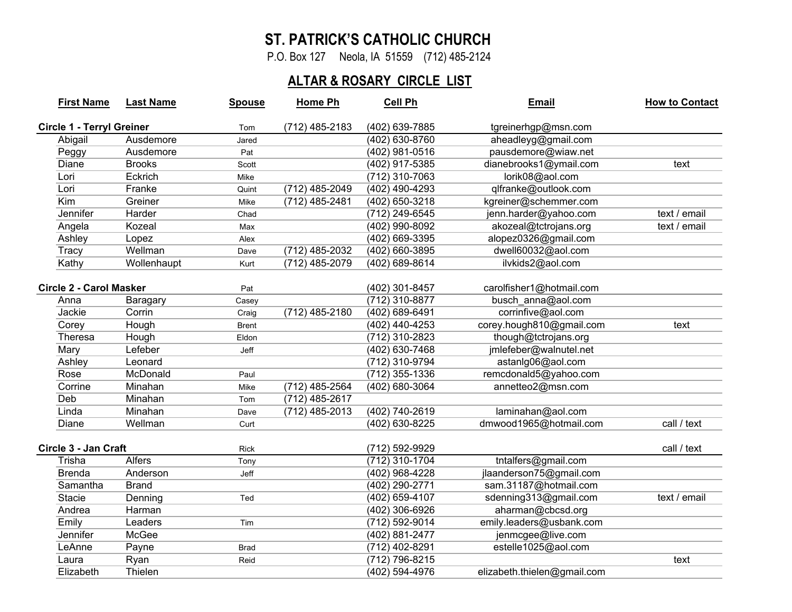## **ST. PATRICK'S CATHOLIC CHURCH**

P.O. Box 127 Neola, IA 51559 (712) 485-2124

## **ALTAR & ROSARY CIRCLE LIST**

| <b>First Name</b>                | <b>Last Name</b> | <b>Spouse</b> | <b>Home Ph</b>   | Cell Ph          | Email                       | <b>How to Contact</b> |
|----------------------------------|------------------|---------------|------------------|------------------|-----------------------------|-----------------------|
| <b>Circle 1 - Terryl Greiner</b> |                  | Tom           | (712) 485-2183   | (402) 639-7885   | tgreinerhgp@msn.com         |                       |
| Abigail                          | Ausdemore        | Jared         |                  | (402) 630-8760   | aheadleyg@gmail.com         |                       |
| Peggy                            | Ausdemore        | Pat           |                  | (402) 981-0516   | pausdemore@wiaw.net         |                       |
| Diane                            | <b>Brooks</b>    | Scott         |                  | (402) 917-5385   | dianebrooks1@ymail.com      | text                  |
| Lori                             | Eckrich          | Mike          |                  | (712) 310-7063   | lorik08@aol.com             |                       |
| Lori                             | Franke           | Quint         | (712) 485-2049   | (402) 490-4293   | qlfranke@outlook.com        |                       |
| Kim                              | Greiner          | Mike          | (712) 485-2481   | (402) 650-3218   | kgreiner@schemmer.com       |                       |
| Jennifer                         | Harder           | Chad          |                  | (712) 249-6545   | jenn.harder@yahoo.com       | text / email          |
| Angela                           | Kozeal           | Max           |                  | (402) 990-8092   | akozeal@tctrojans.org       | text / email          |
| Ashley                           | Lopez            | Alex          |                  | (402) 669-3395   | alopez0326@gmail.com        |                       |
| Tracy                            | Wellman          | Dave          | $(712)$ 485-2032 | (402) 660-3895   | dwell60032@aol.com          |                       |
| Kathy                            | Wollenhaupt      | Kurt          | (712) 485-2079   | (402) 689-8614   | ilvkids2@aol.com            |                       |
| <b>Circle 2 - Carol Masker</b>   |                  | Pat           |                  | (402) 301-8457   | carolfisher1@hotmail.com    |                       |
| Anna                             | Baragary         | Casey         |                  | $(712)$ 310-8877 | busch_anna@aol.com          |                       |
| Jackie                           | Corrin           | Craig         | (712) 485-2180   | (402) 689-6491   | corrinfive@aol.com          |                       |
| Corey                            | Hough            | <b>Brent</b>  |                  | (402) 440-4253   | corey.hough810@gmail.com    | text                  |
| Theresa                          | Hough            | Eldon         |                  | (712) 310-2823   | though@tctrojans.org        |                       |
| Mary                             | Lefeber          | Jeff          |                  | (402) 630-7468   | jmlefeber@walnutel.net      |                       |
| Ashley                           | Leonard          |               |                  | (712) 310-9794   | astanlg06@aol.com           |                       |
| Rose                             | McDonald         | Paul          |                  | (712) 355-1336   | remcdonald5@yahoo.com       |                       |
| Corrine                          | Minahan          | Mike          | (712) 485-2564   | (402) 680-3064   | annetteo2@msn.com           |                       |
| Deb                              | Minahan          | Tom           | (712) 485-2617   |                  |                             |                       |
| Linda                            | Minahan          | Dave          | (712) 485-2013   | (402) 740-2619   | laminahan@aol.com           |                       |
| Diane                            | Wellman          | Curt          |                  | (402) 630-8225   | dmwood1965@hotmail.com      | call / text           |
| Circle 3 - Jan Craft             |                  | <b>Rick</b>   |                  | (712) 592-9929   |                             | call / text           |
| Trisha                           | <b>Alfers</b>    | Tony          |                  | (712) 310-1704   | tntalfers@gmail.com         |                       |
| <b>Brenda</b>                    | Anderson         | Jeff          |                  | (402) 968-4228   | jlaanderson75@gmail.com     |                       |
| Samantha                         | <b>Brand</b>     |               |                  | (402) 290-2771   | sam.31187@hotmail.com       |                       |
| <b>Stacie</b>                    | Denning          | Ted           |                  | (402) 659-4107   | sdenning313@gmail.com       | text / email          |
| Andrea                           | Harman           |               |                  | (402) 306-6926   | aharman@cbcsd.org           |                       |
| Emily                            | Leaders          | Tim           |                  | (712) 592-9014   | emily.leaders@usbank.com    |                       |
| Jennifer                         | McGee            |               |                  | (402) 881-2477   | jenmcgee@live.com           |                       |
| LeAnne                           | Payne            | <b>Brad</b>   |                  | (712) 402-8291   | estelle1025@aol.com         |                       |
| Laura                            | Ryan             | Reid          |                  | (712) 796-8215   |                             | text                  |
| Elizabeth                        | Thielen          |               |                  | (402) 594-4976   | elizabeth.thielen@gmail.com |                       |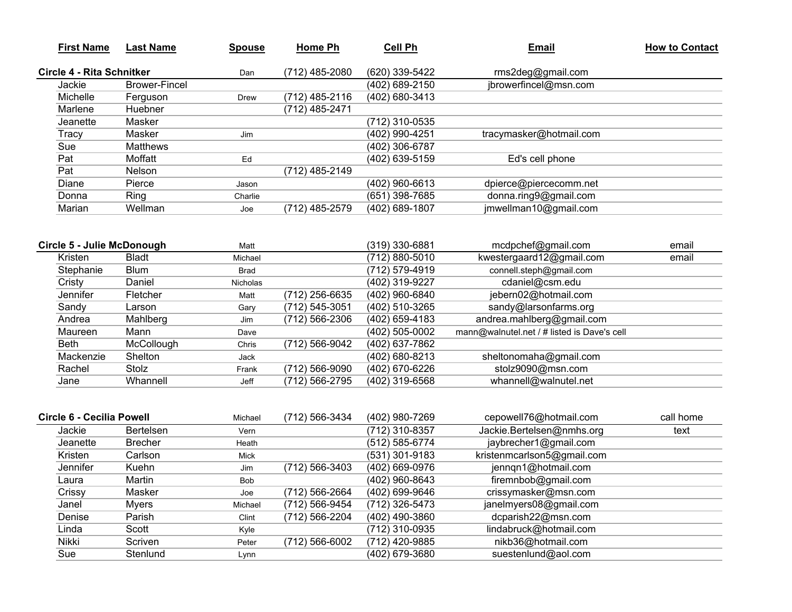| <b>First Name</b>                 | <b>Last Name</b>     | <b>Spouse</b> | <b>Home Ph</b> | Cell Ph                          | <b>Email</b>                                | <b>How to Contact</b> |
|-----------------------------------|----------------------|---------------|----------------|----------------------------------|---------------------------------------------|-----------------------|
| Circle 4 - Rita Schnitker         |                      | Dan           | (712) 485-2080 | (620) 339-5422                   | rms2deg@gmail.com                           |                       |
| Jackie                            | <b>Brower-Fincel</b> |               |                | (402) 689-2150                   | jbrowerfincel@msn.com                       |                       |
| Michelle                          | Ferguson             | <b>Drew</b>   | (712) 485-2116 | (402) 680-3413                   |                                             |                       |
| Marlene                           | Huebner              |               | (712) 485-2471 |                                  |                                             |                       |
| Jeanette                          | Masker               |               |                | (712) 310-0535                   |                                             |                       |
| Tracy                             | Masker               | Jim           |                | (402) 990-4251                   | tracymasker@hotmail.com                     |                       |
| Sue                               | <b>Matthews</b>      |               |                | (402) 306-6787                   |                                             |                       |
| Pat                               | Moffatt              | $\mathsf{Ed}$ |                | (402) 639-5159                   | Ed's cell phone                             |                       |
| Pat                               | Nelson               |               | (712) 485-2149 |                                  |                                             |                       |
| Diane                             | Pierce               | Jason         |                | (402) 960-6613                   | dpierce@piercecomm.net                      |                       |
| Donna                             | Ring                 | Charlie       |                | (651) 398-7685                   | donna.ring9@gmail.com                       |                       |
| Marian                            | Wellman              | Joe           | (712) 485-2579 | (402) 689-1807                   | jmwellman10@gmail.com                       |                       |
| <b>Circle 5 - Julie McDonough</b> |                      | Matt          |                | (319) 330-6881                   | mcdpchef@gmail.com                          | email                 |
| Kristen                           | <b>Bladt</b>         | Michael       |                | (712) 880-5010                   | kwestergaard12@gmail.com                    | email                 |
| Stephanie                         | <b>Blum</b>          | <b>Brad</b>   |                | (712) 579-4919                   | connell.steph@gmail.com                     |                       |
| Cristy                            | Daniel               | Nicholas      |                | (402) 319-9227                   | cdaniel@csm.edu                             |                       |
| Jennifer                          | Fletcher             | Matt          | (712) 256-6635 | (402) 960-6840                   | jebern02@hotmail.com                        |                       |
| Sandy                             | Larson               | Gary          | (712) 545-3051 | (402) 510-3265                   | sandy@larsonfarms.org                       |                       |
| Andrea                            | Mahlberg             | Jim           | (712) 566-2306 | (402) 659-4183                   | andrea.mahlberg@gmail.com                   |                       |
| Maureen                           | Mann                 | Dave          |                | (402) 505-0002                   | mann@walnutel.net / # listed is Dave's cell |                       |
| <b>Beth</b>                       | McCollough           | Chris         | (712) 566-9042 | (402) 637-7862                   |                                             |                       |
| Mackenzie                         | Shelton              | Jack          |                | (402) 680-8213                   | sheltonomaha@gmail.com                      |                       |
| Rachel                            | Stolz                | Frank         | (712) 566-9090 | (402) 670-6226                   | stolz9090@msn.com                           |                       |
| Jane                              | Whannell             | Jeff          | (712) 566-2795 | (402) 319-6568                   | whannell@walnutel.net                       |                       |
| <b>Circle 6 - Cecilia Powell</b>  |                      | Michael       | (712) 566-3434 | (402) 980-7269                   | cepowell76@hotmail.com                      | call home             |
| Jackie                            | Bertelsen            | Vern          |                | (712) 310-8357                   | Jackie.Bertelsen@nmhs.org                   | text                  |
| Jeanette                          | <b>Brecher</b>       |               |                | (512) 585-6774                   | jaybrecher1@gmail.com                       |                       |
| Kristen                           | Carlson              | Heath         |                |                                  | kristenmcarlson5@gmail.com                  |                       |
| Jennifer                          |                      | Mick          |                | (531) 301-9183                   |                                             |                       |
|                                   | Kuehn<br>Martin      | Jim           | (712) 566-3403 | (402) 669-0976<br>(402) 960-8643 | jennqn1@hotmail.com                         |                       |
| Laura                             |                      | <b>Bob</b>    |                |                                  | firemnbob@gmail.com                         |                       |
| Crissy                            | Masker               | Joe           | (712) 566-2664 | (402) 699-9646                   | crissymasker@msn.com                        |                       |
| Janel                             | <b>Myers</b>         | Michael       | (712) 566-9454 | (712) 326-5473                   | janelmyers08@gmail.com                      |                       |
| Denise                            | Parish               | Clint         | (712) 566-2204 | (402) 490-3860                   | dcparish22@msn.com                          |                       |

Kyle (712) 310-0935 lindabruck@hotmail.com<br>Peter (712) 566-6002 (712) 420-9885 nikb36@hotmail.com

Peter (712) 566-6002 (712) 420-9885 nikb36@hotmail.com<br>Lynn (402) 679-3680 suestenlund@aol.com

Lynn (402) 679-3680 suestenlund@aol.com

Linda Scott

Nikki Scriven

Sue Stenlund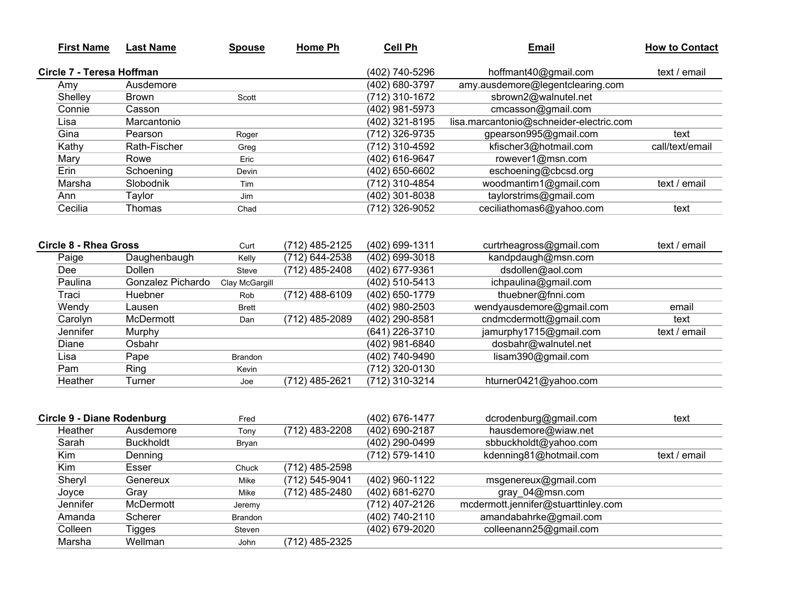| <b>First Name</b>                 | <b>Last Name</b>  | <b>Spouse</b>  | <b>Home Ph</b>   | <b>Cell Ph</b>     | <b>Email</b>                            | <b>How to Contact</b> |
|-----------------------------------|-------------------|----------------|------------------|--------------------|-----------------------------------------|-----------------------|
| Circle 7 - Teresa Hoffman         |                   |                |                  | (402) 740-5296     | hoffmant40@gmail.com                    | text / email          |
| Amy                               | Ausdemore         |                |                  | (402) 680-3797     | amy.ausdemore@legentclearing.com        |                       |
| Shelley                           | <b>Brown</b>      | Scott          |                  | (712) 310-1672     | sbrown2@walnutel.net                    |                       |
| Connie                            | Casson            |                |                  | (402) 981-5973     | cmcasson@gmail.com                      |                       |
| Lisa                              | Marcantonio       |                |                  | (402) 321-8195     | lisa.marcantonio@schneider-electric.com |                       |
| Gina                              | Pearson           | Roger          |                  | (712) 326-9735     | gpearson995@gmail.com                   | text                  |
| Kathy                             | Rath-Fischer      | Greg           |                  | (712) 310-4592     | kfischer3@hotmail.com                   | call/text/email       |
| Mary                              | Rowe              | Eric           |                  | (402) 616-9647     | rowever1@msn.com                        |                       |
| Erin                              | Schoening         | Devin          |                  | (402) 650-6602     | eschoening@cbcsd.org                    |                       |
| Marsha                            | Slobodnik         | Tim            |                  | (712) 310-4854     | woodmantim1@gmail.com                   | text / email          |
| Ann                               | Taylor            | Jim            |                  | (402) 301-8038     | taylorstrims@gmail.com                  |                       |
| Cecilia                           | Thomas            | Chad           |                  | (712) 326-9052     | ceciliathomas6@yahoo.com                | text                  |
|                                   |                   |                |                  |                    |                                         |                       |
| Circle 8 - Rhea Gross             |                   | Curt           | (712) 485-2125   | (402) 699-1311     | curtrheagross@gmail.com                 | text / email          |
| Paige                             | Daughenbaugh      | Kelly          | (712) 644-2538   | (402) 699-3018     | kandpdaugh@msn.com                      |                       |
| Dee                               | Dollen            | Steve          | (712) 485-2408   | (402) 677-9361     | dsdollen@aol.com                        |                       |
| Paulina                           | Gonzalez Pichardo | Clay McGargill |                  | (402) 510-5413     | ichpaulina@gmail.com                    |                       |
| Traci                             | Huebner           | Rob            | (712) 488-6109   | (402) 650-1779     | thuebner@fnni.com                       |                       |
| Wendy                             | Lausen            | <b>Brett</b>   |                  | (402) 980-2503     | wendyausdemore@gmail.com                | email                 |
| Carolyn                           | McDermott         | Dan            | (712) 485-2089   | (402) 290-8581     | cndmcdermott@gmail.com                  | text                  |
| Jennifer                          | Murphy            |                |                  | (641) 226-3710     | jamurphy1715@gmail.com                  | text / email          |
| <b>Diane</b>                      | Osbahr            |                |                  | $(402)$ 981-6840   | dosbahr@walnutel.net                    |                       |
| Lisa                              | Pape              | <b>Brandon</b> |                  | (402) 740-9490     | lisam390@gmail.com                      |                       |
| Pam                               | Ring              | Kevin          |                  | (712) 320-0130     |                                         |                       |
| Heather                           | Turner            | Joe            | (712) 485-2621   | (712) 310-3214     | hturner0421@yahoo.com                   |                       |
| <b>Circle 9 - Diane Rodenburg</b> |                   | Fred           |                  | (402) 676-1477     | dcrodenburg@gmail.com                   | text                  |
| Heather                           | Ausdemore         | Tony           | (712) 483-2208   | (402) 690-2187     | hausdemore@wiaw.net                     |                       |
| Sarah                             | <b>Buckholdt</b>  | Bryan          |                  | (402) 290-0499     | sbbuckholdt@yahoo.com                   |                       |
| Kim                               | Denning           |                |                  | (712) 579-1410     | kdenning81@hotmail.com                  | text / email          |
| Kim                               | Esser             | Chuck          | (712) 485-2598   |                    |                                         |                       |
| Sheryl                            | Genereux          | Mike           | (712) 545-9041   | (402) 960-1122     | msgenereux@gmail.com                    |                       |
| Joyce                             | Gray              | Mike           | $(712)$ 485-2480 | $(402) 681 - 6270$ | gray 04@msn.com                         |                       |
| Jennifer                          | McDermott         | Jeremy         |                  | (712) 407-2126     | mcdermott.jennifer@stuarttinley.com     |                       |
| Amanda                            | Scherer           | Brandon        |                  | (402) 740-2110     | amandabahrke@gmail.com                  |                       |
| Colleen                           | <b>Tigges</b>     | Steven         |                  | (402) 679-2020     | colleenann25@gmail.com                  |                       |
| Marsha                            | Wellman           | John           | (712) 485-2325   |                    |                                         |                       |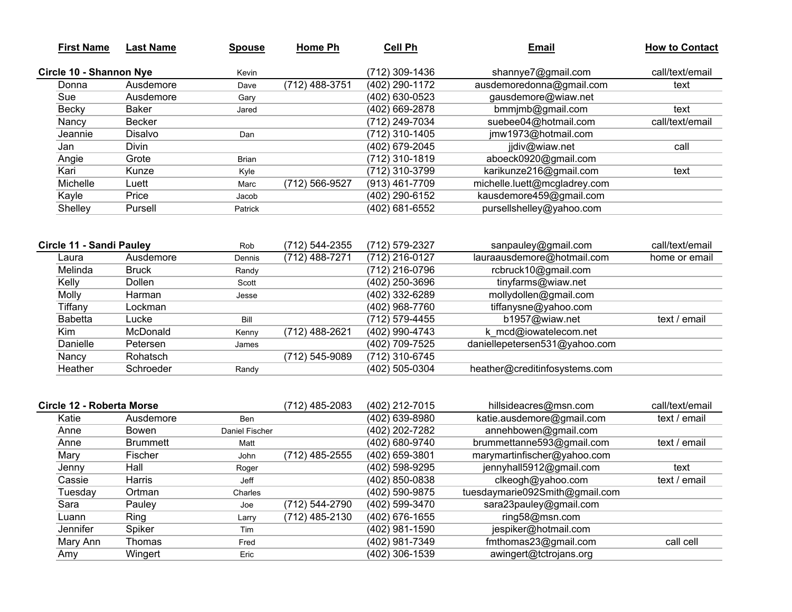| <b>First Name</b>               | <b>Last Name</b> | <b>Spouse</b>  | <b>Home Ph</b>   | <b>Cell Ph</b> | <b>Email</b>                   | <b>How to Contact</b> |
|---------------------------------|------------------|----------------|------------------|----------------|--------------------------------|-----------------------|
| Circle 10 - Shannon Nye         |                  | Kevin          |                  | (712) 309-1436 | shannye7@gmail.com             | call/text/email       |
| Donna                           | Ausdemore        | Dave           | $(712)$ 488-3751 | (402) 290-1172 | ausdemoredonna@gmail.com       | text                  |
| Sue                             | Ausdemore        | Gary           |                  | (402) 630-0523 | gausdemore@wiaw.net            |                       |
| <b>Becky</b>                    | <b>Baker</b>     | Jared          |                  | (402) 669-2878 | bmmjmb@gmail.com               | text                  |
| Nancy                           | <b>Becker</b>    |                |                  | (712) 249-7034 | suebee04@hotmail.com           | call/text/email       |
| Jeannie                         | Disalvo          | Dan            |                  | (712) 310-1405 | jmw1973@hotmail.com            |                       |
| Jan                             | Divin            |                |                  | (402) 679-2045 | jidiv@wiaw.net                 | call                  |
| Angie                           | Grote            | <b>Brian</b>   |                  | (712) 310-1819 | aboeck0920@gmail.com           |                       |
| Kari                            | Kunze            | Kyle           |                  | (712) 310-3799 | karikunze216@gmail.com         | text                  |
| Michelle                        | Luett            | Marc           | (712) 566-9527   | (913) 461-7709 | michelle.luett@mcgladrey.com   |                       |
| Kayle                           | Price            | Jacob          |                  | (402) 290-6152 | kausdemore459@gmail.com        |                       |
| Shelley                         | Pursell          | Patrick        |                  | (402) 681-6552 | pursellshelley@yahoo.com       |                       |
|                                 |                  |                |                  |                |                                |                       |
| <b>Circle 11 - Sandi Pauley</b> |                  | Rob            | (712) 544-2355   | (712) 579-2327 | sanpauley@gmail.com            | call/text/email       |
| Laura                           | Ausdemore        | Dennis         | (712) 488-7271   | (712) 216-0127 | lauraausdemore@hotmail.com     | home or email         |
| Melinda                         | <b>Bruck</b>     | Randy          |                  | (712) 216-0796 | rcbruck10@gmail.com            |                       |
| Kelly                           | Dollen           | Scott          |                  | (402) 250-3696 | tinyfarms@wiaw.net             |                       |
| Molly                           | Harman           | Jesse          |                  | (402) 332-6289 | mollydollen@gmail.com          |                       |
| Tiffany                         | Lockman          |                |                  | (402) 968-7760 | tiffanysne@yahoo.com           |                       |
| <b>Babetta</b>                  | Lucke            | Bill           |                  | (712) 579-4455 | b1957@wiaw.net                 | text / email          |
| Kim                             | McDonald         | Kenny          | (712) 488-2621   | (402) 990-4743 | k mcd@iowatelecom.net          |                       |
| Danielle                        | Petersen         | James          |                  | (402) 709-7525 | daniellepetersen531@yahoo.com  |                       |
| Nancy                           | Rohatsch         |                | (712) 545-9089   | (712) 310-6745 |                                |                       |
| Heather                         | Schroeder        | Randy          |                  | (402) 505-0304 | heather@creditinfosystems.com  |                       |
|                                 |                  |                |                  |                |                                |                       |
| Circle 12 - Roberta Morse       |                  |                | (712) 485-2083   | (402) 212-7015 | hillsideacres@msn.com          | call/text/email       |
| Katie                           | Ausdemore        | Ben            |                  | (402) 639-8980 | katie.ausdemore@gmail.com      | text / email          |
| Anne                            | Bowen            | Daniel Fischer |                  | (402) 202-7282 | annehbowen@gmail.com           |                       |
| Anne                            | <b>Brummett</b>  | Matt           |                  | (402) 680-9740 | brummettanne593@gmail.com      | text / email          |
| Mary                            | Fischer          | John           | (712) 485-2555   | (402) 659-3801 | marymartinfischer@yahoo.com    |                       |
| Jenny                           | Hall             | Roger          |                  | (402) 598-9295 | jennyhall5912@gmail.com        | text                  |
| Cassie                          | Harris           | Jeff           |                  | (402) 850-0838 | clkeogh@yahoo.com              | text / email          |
| Tuesday                         | Ortman           | Charles        |                  | (402) 590-9875 | tuesdaymarie092Smith@gmail.com |                       |
| Sara                            | Pauley           | Joe            | (712) 544-2790   | (402) 599-3470 | sara23pauley@gmail.com         |                       |

Joe (712) 544-2790 (402) 599-3470 sara23pauley@gmail.com<br>Larry (712) 485-2130 (402) 676-1655 ring58@msn.com

Mary Ann Thomas Fred (402) 981-7349 fmthomas23@gmail.com call cell

Luann Ring Larry (712) 485-2130 (402) 676-1655 ring58@msn.com Jennifer Spiker Tim (402) 981-1590 jespiker@hotmail.com

Amy Wingert Eric Eric (402) 306-1539 awingert@tctrojans.org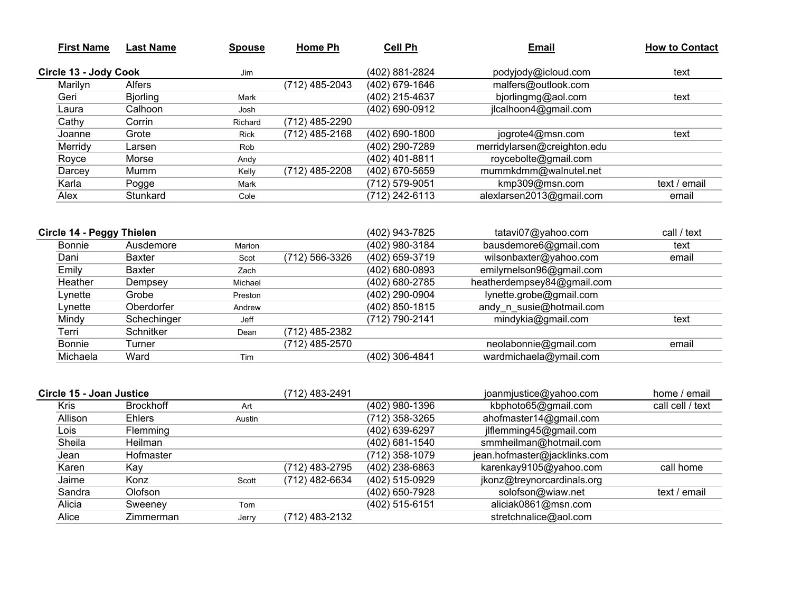| <b>First Name</b>     | Last Name       | <b>Spouse</b> | Home Ph        | <b>Cell Ph</b>   | <b>Email</b>                | <b>How to Contact</b> |
|-----------------------|-----------------|---------------|----------------|------------------|-----------------------------|-----------------------|
| Circle 13 - Jody Cook |                 | Jim           |                | (402) 881-2824   | podyjody@icloud.com         | text                  |
| Marilyn               | <b>Alfers</b>   |               | (712) 485-2043 | (402) 679-1646   | malfers@outlook.com         |                       |
| Geri                  | <b>Bjorling</b> | Mark          |                | (402) 215-4637   | bjorlingmg@aol.com          | text                  |
| Laura                 | Calhoon         | Josh          |                | (402) 690-0912   | jlcalhoon4@gmail.com        |                       |
| Cathy                 | Corrin          | Richard       | (712) 485-2290 |                  |                             |                       |
| Joanne                | Grote           | <b>Rick</b>   | (712) 485-2168 | $(402)$ 690-1800 | jogrote4@msn.com            | text                  |
| Merridy               | Larsen          | Rob           |                | (402) 290-7289   | merridylarsen@creighton.edu |                       |
| Royce                 | Morse           | Andy          |                | (402) 401-8811   | roycebolte@gmail.com        |                       |
| Darcey                | Mumm            | Kelly         | (712) 485-2208 | (402) 670-5659   | mummkdmm@walnutel.net       |                       |
| Karla                 | Pogge           | Mark          |                | (712) 579-9051   | kmp309@msn.com              | text / email          |
| Alex                  | Stunkard        | Cole          |                | (712) 242-6113   | alexlarsen2013@gmail.com    | email                 |

| Circle 14 - Peggy Thielen |               |         |                | (402) 943-7825 | tatavi07@yahoo.com         | call / text |
|---------------------------|---------------|---------|----------------|----------------|----------------------------|-------------|
| Bonnie                    | Ausdemore     | Marion  |                | (402) 980-3184 | bausdemore6@gmail.com      | text        |
| Dani                      | <b>Baxter</b> | Scot    | (712) 566-3326 | (402) 659-3719 | wilsonbaxter@yahoo.com     | email       |
| Emily                     | <b>Baxter</b> | Zach    |                | (402) 680-0893 | emilyrnelson96@gmail.com   |             |
| Heather                   | Dempsey       | Michael |                | (402) 680-2785 | heatherdempsey84@gmail.com |             |
| Lynette                   | Grobe         | Preston |                | (402) 290-0904 | lynette.grobe@gmail.com    |             |
| Lynette                   | Oberdorfer    | Andrew  |                | (402) 850-1815 | andy n susie@hotmail.com   |             |
| Mindy                     | Schechinger   | Jeff    |                | (712) 790-2141 | mindykia@gmail.com         | text        |
| Terri                     | Schnitker     | Dean    | (712) 485-2382 |                |                            |             |
| Bonnie                    | Turner        |         | (712) 485-2570 |                | neolabonnie@gmail.com      | email       |
| Michaela                  | Ward          | Tim     |                | (402) 306-4841 | wardmichaela@ymail.com     |             |
|                           |               |         |                |                |                            |             |

| Circle 15 - Joan Justice |                  |        | (712) 483-2491 |                | joanmjustice@yahoo.com       | home / email     |
|--------------------------|------------------|--------|----------------|----------------|------------------------------|------------------|
| Kris                     | <b>Brockhoff</b> | Art    |                | (402) 980-1396 | kbphoto65@gmail.com          | call cell / text |
| Allison                  | <b>Ehlers</b>    | Austin |                | (712) 358-3265 | ahofmaster14@gmail.com       |                  |
| Lois.                    | Flemming         |        |                | (402) 639-6297 | jlflemming45@gmail.com       |                  |
| Sheila                   | <b>Heilman</b>   |        |                | (402) 681-1540 | smmheilman@hotmail.com       |                  |
| Jean                     | Hofmaster        |        |                | (712) 358-1079 | jean.hofmaster@jacklinks.com |                  |
| Karen                    | Kav              |        | (712) 483-2795 | (402) 238-6863 | karenkay9105@yahoo.com       | call home        |
| Jaime                    | Konz             | Scott  | (712) 482-6634 | (402) 515-0929 | jkonz@treynorcardinals.org   |                  |
| Sandra                   | Olofson          |        |                | (402) 650-7928 | solofson@wiaw.net            | text / email     |
| Alicia                   | Sweeney          | Tom    |                | (402) 515-6151 | aliciak0861@msn.com          |                  |
| Alice                    | Zimmerman        | Jerry  | (712) 483-2132 |                | stretchnalice@aol.com        |                  |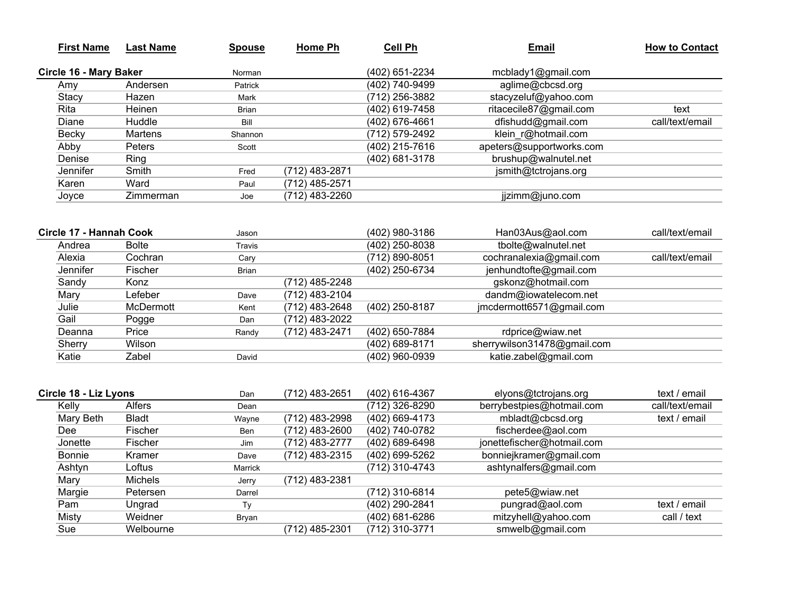| <b>First Name</b>       | <b>Last Name</b> | <b>Spouse</b> | <b>Home Ph</b>   | <b>Cell Ph</b>   | <b>Email</b>                | <b>How to Contact</b> |
|-------------------------|------------------|---------------|------------------|------------------|-----------------------------|-----------------------|
| Circle 16 - Mary Baker  |                  | Norman        |                  | (402) 651-2234   | mcblady1@gmail.com          |                       |
| Amy                     | Andersen         | Patrick       |                  | (402) 740-9499   | aglime@cbcsd.org            |                       |
| Stacy                   | Hazen            | Mark          |                  | (712) 256-3882   | stacyzeluf@yahoo.com        |                       |
| Rita                    | Heinen           | <b>Brian</b>  |                  | (402) 619-7458   | ritacecile87@gmail.com      | text                  |
| Diane                   | Huddle           | Bill          |                  | $(402)$ 676-4661 | dfishudd@gmail.com          | call/text/email       |
| <b>Becky</b>            | Martens          | Shannon       |                  | (712) 579-2492   | klein r@hotmail.com         |                       |
| Abby                    | Peters           | Scott         |                  | (402) 215-7616   | apeters@supportworks.com    |                       |
| Denise                  | Ring             |               |                  | (402) 681-3178   | brushup@walnutel.net        |                       |
| Jennifer                | Smith            | Fred          | (712) 483-2871   |                  | jsmith@tctrojans.org        |                       |
| Karen                   | Ward             | Paul          | (712) 485-2571   |                  |                             |                       |
| Joyce                   | Zimmerman        | Joe           | (712) 483-2260   |                  | jjzimm@juno.com             |                       |
|                         |                  |               |                  |                  |                             |                       |
| Circle 17 - Hannah Cook |                  | Jason         |                  | (402) 980-3186   | Han03Aus@aol.com            | call/text/email       |
| Andrea                  | <b>Bolte</b>     | Travis        |                  | (402) 250-8038   | tbolte@walnutel.net         |                       |
| Alexia                  | Cochran          | Cary          |                  | (712) 890-8051   | cochranalexia@gmail.com     | call/text/email       |
| Jennifer                | Fischer          | <b>Brian</b>  |                  | (402) 250-6734   | jenhundtofte@gmail.com      |                       |
| Sandy                   | Konz             |               | (712) 485-2248   |                  | gskonz@hotmail.com          |                       |
| Mary                    | Lefeber          | Dave          | (712) 483-2104   |                  | dandm@iowatelecom.net       |                       |
| Julie                   | <b>McDermott</b> | Kent          | $(712)$ 483-2648 | (402) 250-8187   | jmcdermott6571@gmail.com    |                       |
| Gail                    | Pogge            | Dan           | (712) 483-2022   |                  |                             |                       |
| Deanna                  | Price            | Randy         | (712) 483-2471   | (402) 650-7884   | rdprice@wiaw.net            |                       |
| Sherry                  | Wilson           |               |                  | (402) 689-8171   | sherrywilson31478@gmail.com |                       |
| Katie                   | Zabel            | David         |                  | (402) 960-0939   | katie.zabel@gmail.com       |                       |
|                         |                  |               |                  |                  |                             |                       |
| Circle 18 - Liz Lyons   |                  | Dan           | (712) 483-2651   | (402) 616-4367   | elyons@tctrojans.org        | text / email          |
| Kelly                   | Alfers           | Dean          |                  | (712) 326-8290   | berrybestpies@hotmail.com   | call/text/email       |
| Mary Beth               | <b>Bladt</b>     | Wayne         | (712) 483-2998   | (402) 669-4173   | mbladt@cbcsd.org            | text / email          |
| Dee                     | Fischer          | Ben           | (712) 483-2600   | (402) 740-0782   | fischerdee@aol.com          |                       |
| Jonette                 | Fischer          | Jim           | (712) 483-2777   | (402) 689-6498   | jonettefischer@hotmail.com  |                       |
| <b>Bonnie</b>           | Kramer           | Dave          | (712) 483-2315   | (402) 699-5262   | bonniejkramer@gmail.com     |                       |
| Ashtyn                  | Loftus           | Marrick       |                  | (712) 310-4743   | ashtynalfers@gmail.com      |                       |
| Mary                    | Michels          | Jerry         | (712) 483-2381   |                  |                             |                       |
| Margie                  | Petersen         | Darrel        |                  | (712) 310-6814   | pete5@wiaw.net              |                       |
| Pam                     | Ungrad           | Ty            |                  | (402) 290-2841   | pungrad@aol.com             | text / email          |
| Misty                   | Weidner          | Bryan         |                  | (402) 681-6286   | mitzyhell@yahoo.com         | call / text           |
| Sue                     | Welbourne        |               | (712) 485-2301   | (712) 310-3771   | smwelb@gmail.com            |                       |